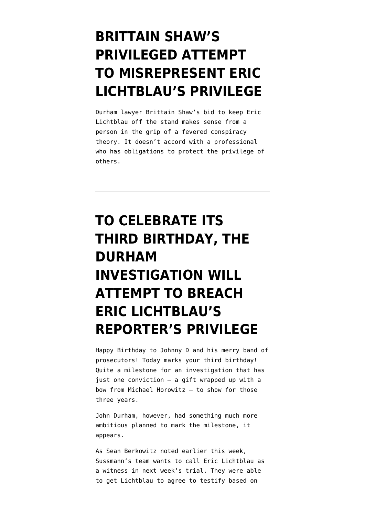### **[BRITTAIN SHAW'S](https://www.emptywheel.net/2022/05/20/brittain-shaws-privileged-attempt-to-misrepresent-eric-lichtblaus-privilege/) [PRIVILEGED ATTEMPT](https://www.emptywheel.net/2022/05/20/brittain-shaws-privileged-attempt-to-misrepresent-eric-lichtblaus-privilege/) [TO MISREPRESENT ERIC](https://www.emptywheel.net/2022/05/20/brittain-shaws-privileged-attempt-to-misrepresent-eric-lichtblaus-privilege/) [LICHTBLAU'S PRIVILEGE](https://www.emptywheel.net/2022/05/20/brittain-shaws-privileged-attempt-to-misrepresent-eric-lichtblaus-privilege/)**

Durham lawyer Brittain Shaw's bid to keep Eric Lichtblau off the stand makes sense from a person in the grip of a fevered conspiracy theory. It doesn't accord with a professional who has obligations to protect the privilege of others.

# **[TO CELEBRATE ITS](https://www.emptywheel.net/2022/05/13/to-celebrate-its-third-birthday-the-durham-investigation-will-attempt-to-breach-eric-lichtblaus-reporters-privilege/) [THIRD BIRTHDAY, THE](https://www.emptywheel.net/2022/05/13/to-celebrate-its-third-birthday-the-durham-investigation-will-attempt-to-breach-eric-lichtblaus-reporters-privilege/) [DURHAM](https://www.emptywheel.net/2022/05/13/to-celebrate-its-third-birthday-the-durham-investigation-will-attempt-to-breach-eric-lichtblaus-reporters-privilege/) [INVESTIGATION WILL](https://www.emptywheel.net/2022/05/13/to-celebrate-its-third-birthday-the-durham-investigation-will-attempt-to-breach-eric-lichtblaus-reporters-privilege/) [ATTEMPT TO BREACH](https://www.emptywheel.net/2022/05/13/to-celebrate-its-third-birthday-the-durham-investigation-will-attempt-to-breach-eric-lichtblaus-reporters-privilege/) [ERIC LICHTBLAU'S](https://www.emptywheel.net/2022/05/13/to-celebrate-its-third-birthday-the-durham-investigation-will-attempt-to-breach-eric-lichtblaus-reporters-privilege/) [REPORTER'S PRIVILEGE](https://www.emptywheel.net/2022/05/13/to-celebrate-its-third-birthday-the-durham-investigation-will-attempt-to-breach-eric-lichtblaus-reporters-privilege/)**

Happy Birthday to Johnny D and his merry band of prosecutors! Today marks your third birthday! Quite a milestone for an investigation that has just one conviction — a gift wrapped up with a bow from Michael Horowitz — to show for those three years.

John Durham, however, had something much more ambitious planned to mark the milestone, it appears.

As Sean Berkowitz noted earlier this week, Sussmann's team wants to call Eric Lichtblau as a witness in next week's trial. They were able to get Lichtblau to agree to testify based on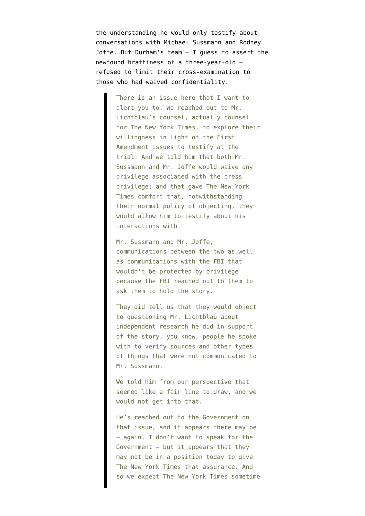the understanding he would only testify about conversations with Michael Sussmann and Rodney Joffe. But Durham's team — I guess to assert the newfound brattiness of a three-year-old refused to limit their cross-examination to those who had waived confidentiality.

> There is an issue here that I want to alert you to. We reached out to Mr. Lichtblau's counsel, actually counsel for The New York Times, to explore their willingness in light of the First Amendment issues to testify at the trial. And we told him that both Mr. Sussmann and Mr. Joffe would waive any privilege associated with the press privilege; and that gave The New York Times comfort that, notwithstanding their normal policy of objecting, they would allow him to testify about his interactions with

Mr. Sussmann and Mr. Joffe, communications between the two as well as communications with the FBI that wouldn't be protected by privilege because the FBI reached out to them to ask them to hold the story.

They did tell us that they would object to questioning Mr. Lichtblau about independent research he did in support of the story, you know, people he spoke with to verify sources and other types of things that were not communicated to Mr. Sussmann.

We told him from our perspective that seemed like a fair line to draw, and we would not get into that.

He's reached out to the Government on that issue, and it appears there may be — again, I don't want to speak for the Government — but it appears that they may not be in a position today to give The New York Times that assurance. And so we expect The New York Times sometime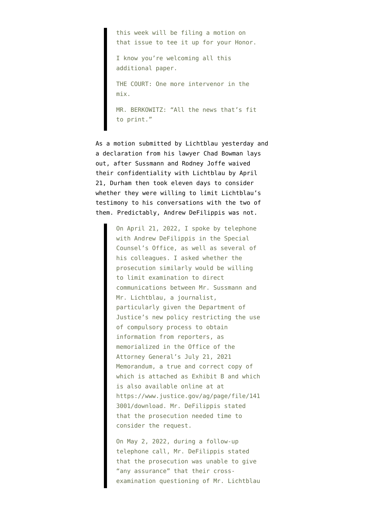this week will be filing a motion on that issue to tee it up for your Honor. I know you're welcoming all this additional paper. THE COURT: One more intervenor in the mix. MR. BERKOWITZ: "All the news that's fit to print."

As a [motion submitted by Lichtblau](https://www.documentcloud.org/documents/22009776-220512-lichtblau-motion) yesterday and a [declaration](https://www.documentcloud.org/documents/22014458-220512-bowman-declaration) from his lawyer Chad Bowman lays out, after Sussmann and Rodney Joffe waived their confidentiality with Lichtblau by April 21, Durham then took eleven days to consider whether they were willing to limit Lichtblau's testimony to his conversations with the two of them. Predictably, Andrew DeFilippis was not.

> On April 21, 2022, I spoke by telephone with Andrew DeFilippis in the Special Counsel's Office, as well as several of his colleagues. I asked whether the prosecution similarly would be willing to limit examination to direct communications between Mr. Sussmann and Mr. Lichtblau, a journalist, particularly given the Department of Justice's new policy restricting the use of compulsory process to obtain information from reporters, as memorialized in the Office of the Attorney General's July 21, 2021 Memorandum, a true and correct copy of which is attached as Exhibit B and which is also available online at at https://www.justice.gov/ag/page/file/141 3001/download. Mr. DeFilippis stated that the prosecution needed time to consider the request.

> On May 2, 2022, during a follow-up telephone call, Mr. DeFilippis stated that the prosecution was unable to give "any assurance" that their crossexamination questioning of Mr. Lichtblau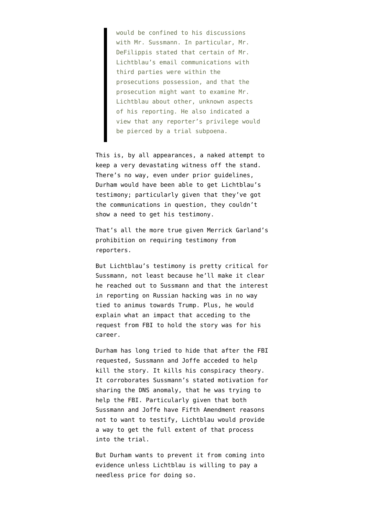would be confined to his discussions with Mr. Sussmann. In particular, Mr. DeFilippis stated that certain of Mr. Lichtblau's email communications with third parties were within the prosecutions possession, and that the prosecution might want to examine Mr. Lichtblau about other, unknown aspects of his reporting. He also indicated a view that any reporter's privilege would be pierced by a trial subpoena.

This is, by all appearances, a naked attempt to keep a very devastating witness off the stand. There's no way, even under prior guidelines, Durham would have been able to get Lichtblau's testimony; particularly given that they've got the communications in question, they couldn't show a need to get his testimony.

That's all the more true given Merrick Garland's prohibition on requiring testimony from reporters.

But Lichtblau's testimony is pretty critical for Sussmann, not least because he'll make it clear he reached out to Sussmann and that the interest in reporting on Russian hacking was in no way tied to animus towards Trump. Plus, he would explain what an impact that acceding to the request from FBI to hold the story was for his career.

Durham has long tried to hide that after the FBI requested, Sussmann and Joffe acceded to help kill the story. It kills his conspiracy theory. It corroborates Sussmann's stated motivation for sharing the DNS anomaly, that he was trying to help the FBI. Particularly given that both Sussmann and Joffe have Fifth Amendment reasons not to want to testify, Lichtblau would provide a way to get the full extent of that process into the trial.

But Durham wants to prevent it from coming into evidence unless Lichtblau is willing to pay a needless price for doing so.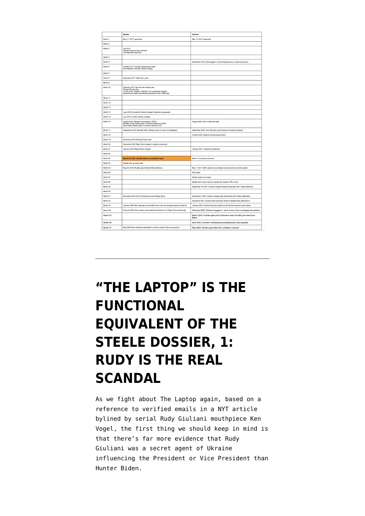|                    | Mueller                                                                                                                                                                                 | Durham                                                                         |
|--------------------|-----------------------------------------------------------------------------------------------------------------------------------------------------------------------------------------|--------------------------------------------------------------------------------|
| Month 1            | May 17, 2017: appointed                                                                                                                                                                 | May 13, 2019: appointed                                                        |
| Month <sub>2</sub> |                                                                                                                                                                                         |                                                                                |
| Month <sub>3</sub> | July 2017:<br>George Papadopoulos arrested<br>Paul Manafort searched                                                                                                                    |                                                                                |
| Month 4            |                                                                                                                                                                                         |                                                                                |
| Month 5            |                                                                                                                                                                                         | September 2019: Boondoggle to chase Papadopoulos conspiracy theories           |
| Month 6            | October 2017: George Papadopoulos plea<br>Paul Manafort and Rick Gates charged                                                                                                          |                                                                                |
| Month 7            |                                                                                                                                                                                         |                                                                                |
| Month 8            | December 2017: Mike Flynn plea                                                                                                                                                          |                                                                                |
| Month <sub>9</sub> |                                                                                                                                                                                         |                                                                                |
| Month 10           | February 2018: Alex Van der Zwaan plea<br>Richard Pinedo plea<br>12 IRA trolls, Yevgenly Prigozhin, & 3 companies charged<br>Manafort and Gates superseding indictment; Rick Gates plea |                                                                                |
| Month 11           |                                                                                                                                                                                         |                                                                                |
| Month 12           |                                                                                                                                                                                         |                                                                                |
| Month 13           |                                                                                                                                                                                         |                                                                                |
| Month 14           | June 2018: Konstantin Kilimnik charged, Manafort superseded                                                                                                                             |                                                                                |
| Month 15           | July 2018: 12 GRU officers charged                                                                                                                                                      |                                                                                |
| Month 16           | August 2018: Manafort found guilty in EDVA<br>Michael Cohen pleads guilty in conduct referred to SDNY<br>Sam Patten pleads guilty in conduct referred to DC                             | August 2020: Kevin Clinesmith plea                                             |
| Month 17           | September 2018: Manafort plea, forfeiture pays for most of investigation                                                                                                                | September 2020: Nora Dannehy quits because of political pressure               |
| Month 18           |                                                                                                                                                                                         | October 2020: Special Counsel appointment                                      |
| Month 19           | November 2018: Michael Cohen plea                                                                                                                                                       |                                                                                |
| Month 20           | December 2018: Bijan Kian charged in related prosecution                                                                                                                                |                                                                                |
| Month 21           | January 2019: Roger Stone charged                                                                                                                                                       | January 2021: Clinesmith sentenced                                             |
| Month 22           |                                                                                                                                                                                         |                                                                                |
| Month 23           | March 22, 2019: Mueller delivers completed report                                                                                                                                       | March 18: Durham continues                                                     |
| Month 24           | Mueller ties up loose ends                                                                                                                                                              |                                                                                |
| Month 25           | May 29, 2019: Mueller gets Andrew Miller testimony                                                                                                                                      | May 7, 2021: WaPo reports its journalists have had phone records seized        |
| Month 26           |                                                                                                                                                                                         | Still nadda                                                                    |
| Month 27           |                                                                                                                                                                                         | Nadda nadda and nadda                                                          |
| Month 28           |                                                                                                                                                                                         | Maybe we'll invent a lying to people who spoke to FBI crime?                   |
| Month 29           |                                                                                                                                                                                         | September 16, 2021: Durham charges Michael Sussmann with 1 false statement     |
| Month 30           |                                                                                                                                                                                         |                                                                                |
| Month 31           | November 2019: DC US Attorney convicts Roger Stone                                                                                                                                      | November 3, 2021: Durham charges Igor Danchenko with 5 false statements        |
| Month 32           |                                                                                                                                                                                         | December 2021: Durham tells Sussmann what his alleged false statement is       |
| Month 33           | January 2020: Barr attempts to save Mike Flynn from the damage Sidney Powell did                                                                                                        | January 2022: Durham discovers details he should have learned years earlier    |
| Month 34           | February 2020: Barr makes unprecedented interference in Roger Stone sentencing                                                                                                          | February 2022: Durham engages in stunt to levy more uncharged accusations      |
| Month 35           |                                                                                                                                                                                         | March 2022: Durham gets proof Sussmann was not hiding his client from<br>Baker |
| Month 36           |                                                                                                                                                                                         | April 2022: Durham's "professional embarassment" [sic] exposed                 |
| Month 37           | May 2020: Barr redefines materiality in a bid to undercut Flynn prosecution                                                                                                             | May 2022: Durham goes after Eric Lichtblau's sources                           |

# **["THE LAPTOP" IS THE](https://www.emptywheel.net/2022/03/18/the-laptop-is-the-functional-equivalent-of-the-steele-dossier-1-rudy-is-the-real-scandal/) [FUNCTIONAL](https://www.emptywheel.net/2022/03/18/the-laptop-is-the-functional-equivalent-of-the-steele-dossier-1-rudy-is-the-real-scandal/) [EQUIVALENT OF THE](https://www.emptywheel.net/2022/03/18/the-laptop-is-the-functional-equivalent-of-the-steele-dossier-1-rudy-is-the-real-scandal/) [STEELE DOSSIER, 1:](https://www.emptywheel.net/2022/03/18/the-laptop-is-the-functional-equivalent-of-the-steele-dossier-1-rudy-is-the-real-scandal/) [RUDY IS THE REAL](https://www.emptywheel.net/2022/03/18/the-laptop-is-the-functional-equivalent-of-the-steele-dossier-1-rudy-is-the-real-scandal/) [SCANDAL](https://www.emptywheel.net/2022/03/18/the-laptop-is-the-functional-equivalent-of-the-steele-dossier-1-rudy-is-the-real-scandal/)**

As we fight about The Laptop again, based on a reference to verified emails in a NYT article bylined by serial Rudy Giuliani mouthpiece Ken Vogel, the first thing we should keep in mind is that there's far more evidence that Rudy Giuliani was a secret agent of Ukraine influencing the President or Vice President than Hunter Biden.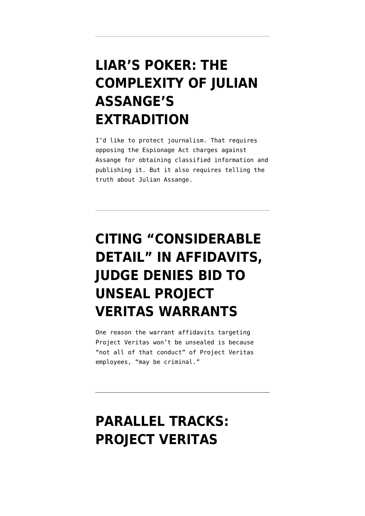## **[LIAR'S POKER: THE](https://www.emptywheel.net/2021/12/10/liars-poker-the-complexity-of-julian-assanges-extradition/) [COMPLEXITY OF JULIAN](https://www.emptywheel.net/2021/12/10/liars-poker-the-complexity-of-julian-assanges-extradition/) [ASSANGE'S](https://www.emptywheel.net/2021/12/10/liars-poker-the-complexity-of-julian-assanges-extradition/) [EXTRADITION](https://www.emptywheel.net/2021/12/10/liars-poker-the-complexity-of-julian-assanges-extradition/)**

I'd like to protect journalism. That requires opposing the Espionage Act charges against Assange for obtaining classified information and publishing it. But it also requires telling the truth about Julian Assange.

## **[CITING "CONSIDERABLE](https://www.emptywheel.net/2021/12/07/citing-considerable-detail-in-affidavit-judge-denies-access-to-project-veritas-affidavits/) [DETAIL" IN AFFIDAVITS,](https://www.emptywheel.net/2021/12/07/citing-considerable-detail-in-affidavit-judge-denies-access-to-project-veritas-affidavits/) [JUDGE DENIES BID TO](https://www.emptywheel.net/2021/12/07/citing-considerable-detail-in-affidavit-judge-denies-access-to-project-veritas-affidavits/) [UNSEAL PROJECT](https://www.emptywheel.net/2021/12/07/citing-considerable-detail-in-affidavit-judge-denies-access-to-project-veritas-affidavits/) [VERITAS WARRANTS](https://www.emptywheel.net/2021/12/07/citing-considerable-detail-in-affidavit-judge-denies-access-to-project-veritas-affidavits/)**

One reason the warrant affidavits targeting Project Veritas won't be unsealed is because "not all of that conduct" of Project Veritas employees, "may be criminal."

## **[PARALLEL TRACKS:](https://www.emptywheel.net/2021/11/25/parallel-tracks-project-veritas-served-on-their-subpoena-stance/) [PROJECT VERITAS](https://www.emptywheel.net/2021/11/25/parallel-tracks-project-veritas-served-on-their-subpoena-stance/)**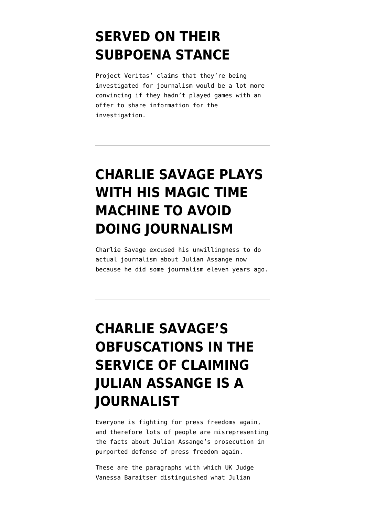#### **[SERVED ON THEIR](https://www.emptywheel.net/2021/11/25/parallel-tracks-project-veritas-served-on-their-subpoena-stance/) [SUBPOENA STANCE](https://www.emptywheel.net/2021/11/25/parallel-tracks-project-veritas-served-on-their-subpoena-stance/)**

Project Veritas' claims that they're being investigated for journalism would be a lot more convincing if they hadn't played games with an offer to share information for the investigation.

## **[CHARLIE SAVAGE PLAYS](https://www.emptywheel.net/2021/06/29/charlie-savage-plays-with-his-magic-time-machine-to-avoid-doing-journalism/) [WITH HIS MAGIC TIME](https://www.emptywheel.net/2021/06/29/charlie-savage-plays-with-his-magic-time-machine-to-avoid-doing-journalism/) [MACHINE TO AVOID](https://www.emptywheel.net/2021/06/29/charlie-savage-plays-with-his-magic-time-machine-to-avoid-doing-journalism/) [DOING JOURNALISM](https://www.emptywheel.net/2021/06/29/charlie-savage-plays-with-his-magic-time-machine-to-avoid-doing-journalism/)**

Charlie Savage excused his unwillingness to do actual journalism about Julian Assange now because he did some journalism eleven years ago.

# **[CHARLIE SAVAGE'S](https://www.emptywheel.net/2021/06/16/charlie-savages-obfuscations-in-the-service-of-claiming-julian-assange-is-a-journalist/) [OBFUSCATIONS IN THE](https://www.emptywheel.net/2021/06/16/charlie-savages-obfuscations-in-the-service-of-claiming-julian-assange-is-a-journalist/) [SERVICE OF CLAIMING](https://www.emptywheel.net/2021/06/16/charlie-savages-obfuscations-in-the-service-of-claiming-julian-assange-is-a-journalist/) [JULIAN ASSANGE IS A](https://www.emptywheel.net/2021/06/16/charlie-savages-obfuscations-in-the-service-of-claiming-julian-assange-is-a-journalist/) [JOURNALIST](https://www.emptywheel.net/2021/06/16/charlie-savages-obfuscations-in-the-service-of-claiming-julian-assange-is-a-journalist/)**

Everyone is fighting for press freedoms again, and therefore lots of people are misrepresenting the facts about Julian Assange's prosecution in purported defense of press freedom again.

These are the paragraphs with which UK Judge Vanessa Baraitser [distinguished](https://www.judiciary.uk/wp-content/uploads/2021/01/USA-v-Assange-judgment-040121.pdf#page=37) what Julian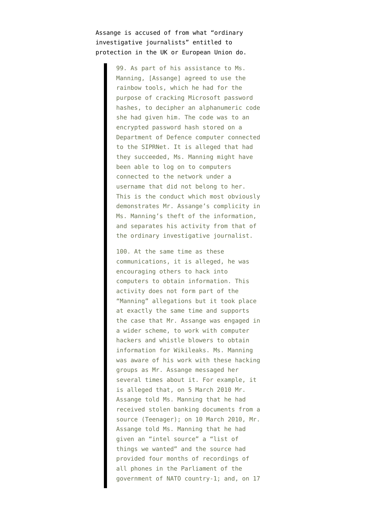Assange is accused of from what "ordinary investigative journalists" entitled to protection in the UK or European Union do.

> 99. As part of his assistance to Ms. Manning, [Assange] agreed to use the rainbow tools, which he had for the purpose of cracking Microsoft password hashes, to decipher an alphanumeric code she had given him. The code was to an encrypted password hash stored on a Department of Defence computer connected to the SIPRNet. It is alleged that had they succeeded, Ms. Manning might have been able to log on to computers connected to the network under a username that did not belong to her. This is the conduct which most obviously demonstrates Mr. Assange's complicity in Ms. Manning's theft of the information, and separates his activity from that of the ordinary investigative journalist.

> 100. At the same time as these communications, it is alleged, he was encouraging others to hack into computers to obtain information. This activity does not form part of the "Manning" allegations but it took place at exactly the same time and supports the case that Mr. Assange was engaged in a wider scheme, to work with computer hackers and whistle blowers to obtain information for Wikileaks. Ms. Manning was aware of his work with these hacking groups as Mr. Assange messaged her several times about it. For example, it is alleged that, on 5 March 2010 Mr. Assange told Ms. Manning that he had received stolen banking documents from a source (Teenager); on 10 March 2010, Mr. Assange told Ms. Manning that he had given an "intel source" a "list of things we wanted" and the source had provided four months of recordings of all phones in the Parliament of the government of NATO country-1; and, on 17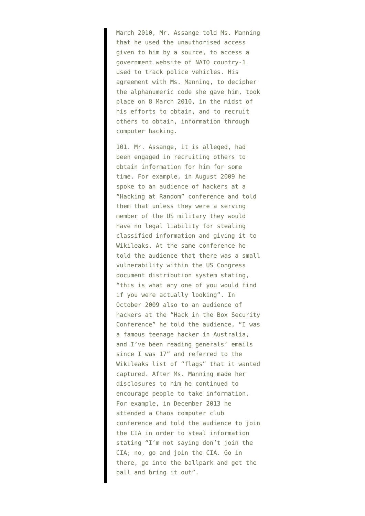March 2010, Mr. Assange told Ms. Manning that he used the unauthorised access given to him by a source, to access a government website of NATO country-1 used to track police vehicles. His agreement with Ms. Manning, to decipher the alphanumeric code she gave him, took place on 8 March 2010, in the midst of his efforts to obtain, and to recruit others to obtain, information through computer hacking.

101. Mr. Assange, it is alleged, had been engaged in recruiting others to obtain information for him for some time. For example, in August 2009 he spoke to an audience of hackers at a "Hacking at Random" conference and told them that unless they were a serving member of the US military they would have no legal liability for stealing classified information and giving it to Wikileaks. At the same conference he told the audience that there was a small vulnerability within the US Congress document distribution system stating, "this is what any one of you would find if you were actually looking". In October 2009 also to an audience of hackers at the "Hack in the Box Security Conference" he told the audience, "I was a famous teenage hacker in Australia, and I've been reading generals' emails since I was 17" and referred to the Wikileaks list of "flags" that it wanted captured. After Ms. Manning made her disclosures to him he continued to encourage people to take information. For example, in December 2013 he attended a Chaos computer club conference and told the audience to join the CIA in order to steal information stating "I'm not saying don't join the CIA; no, go and join the CIA. Go in there, go into the ballpark and get the ball and bring it out".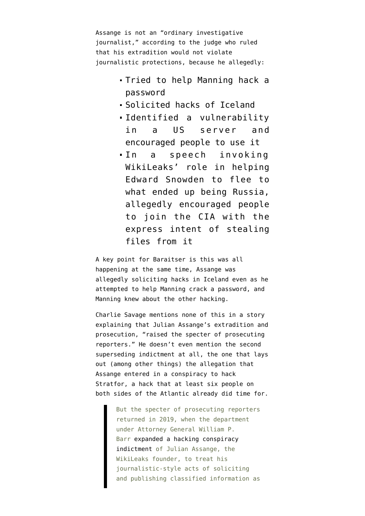Assange is not an "ordinary investigative journalist," according to the judge who ruled that his extradition would not violate journalistic protections, because he allegedly:

- Tried to help Manning hack a password
- Solicited hacks of Iceland
- Identified a vulnerability in a US server and encouraged people to use it
- In a speech invoking WikiLeaks' role in helping Edward Snowden to flee to what ended up being Russia, allegedly encouraged people to join the CIA with the express intent of stealing files from it

A key point for Baraitser is this was all happening at the same time, Assange was allegedly soliciting hacks in Iceland even as he attempted to help Manning crack a password, and Manning knew about the other hacking.

Charlie Savage mentions none of this in [a story](https://www.nytimes.com/2021/06/12/us/politics/government-leaks-garland-biden-administration.html) explaining that Julian Assange's extradition and prosecution, "raised the specter of prosecuting reporters." He doesn't even mention [the second](https://www.courtlistener.com/recap/gov.uscourts.vaed.384245/gov.uscourts.vaed.384245.44.0.pdf) [superseding indictment](https://www.courtlistener.com/recap/gov.uscourts.vaed.384245/gov.uscourts.vaed.384245.44.0.pdf) at all, the one that lays out (among other things) the allegation that Assange entered in a conspiracy to hack Stratfor, a hack that at least six people on both sides of the Atlantic already did time for.

> But the specter of prosecuting reporters returned in 2019, when the department under Attorney General William P. Barr [expanded a hacking conspiracy](https://www.nytimes.com/2019/05/23/us/politics/assange-indictment.html?action=click&module=RelatedLinks&pgtype=Article) [indictment](https://www.nytimes.com/2019/05/23/us/politics/assange-indictment.html?action=click&module=RelatedLinks&pgtype=Article) of Julian Assange, the WikiLeaks founder, to treat his journalistic-style acts of soliciting and publishing classified information as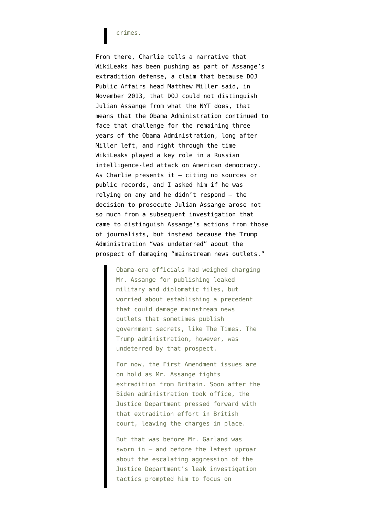#### crimes.

From there, Charlie tells a narrative that WikiLeaks has been pushing as part of Assange's extradition defense, a claim that because [DOJ](https://www.politico.com/blogs/media/2013/11/the-dojs-new-york-times-problem-with-assange-178396) [Public Affairs head Matthew Miller said,](https://www.politico.com/blogs/media/2013/11/the-dojs-new-york-times-problem-with-assange-178396) in November 2013, that DOJ could not distinguish Julian Assange from what the NYT does, that means that the Obama Administration continued to face that challenge for the remaining three years of the Obama Administration, long after Miller left, and right through the time WikiLeaks played a key role in a Russian intelligence-led attack on American democracy. As Charlie presents it  $-$  citing no sources or public records, and I asked him if he was relying on any and he didn't respond — the decision to prosecute Julian Assange arose not so much from a subsequent investigation that came to distinguish Assange's actions from those of journalists, but instead because the Trump Administration "was undeterred" about the prospect of damaging "mainstream news outlets."

> Obama-era officials had weighed charging Mr. Assange for publishing leaked military and diplomatic files, but worried about establishing a precedent that could damage mainstream news outlets that sometimes publish government secrets, like The Times. The Trump administration, however, was undeterred by that prospect.

> For now, the First Amendment issues are on hold as Mr. Assange fights extradition from Britain. Soon after the Biden administration took office, the Justice Department pressed forward with that extradition effort in British court, leaving the charges in place.

But that was before Mr. Garland was sworn in — and before the latest uproar about the escalating aggression of the Justice Department's leak investigation tactics prompted him to focus on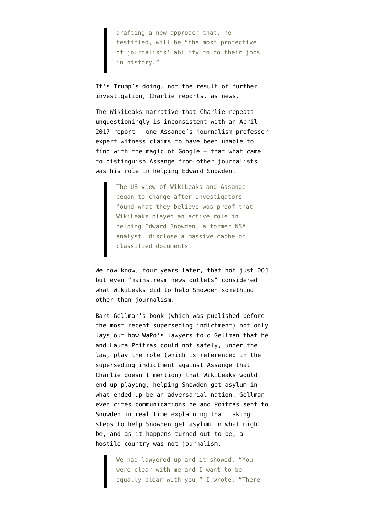drafting a new approach that, he testified, will be "the most protective of journalists' ability to do their jobs in history."

It's Trump's doing, not the result of further investigation, Charlie reports, as news.

The WikiLeaks narrative that Charlie repeats unquestioningly is inconsistent with [an April](https://edition.cnn.com/2017/04/20/politics/julian-assange-wikileaks-us-charges/index.html) [2017 report](https://edition.cnn.com/2017/04/20/politics/julian-assange-wikileaks-us-charges/index.html) — one Assange's journalism professor expert witness [claims to have been unable](https://www.emptywheel.net/2020/09/07/julian-assanges-first-witness-journalism-professor-mark-feldstein-professes-to-be-unfamiliar-with-the-public-record-on-assange/) to find with the magic of Google — that what came to distinguish Assange from other journalists was his role in helping Edward Snowden.

> The US view of WikiLeaks and Assange began to change after investigators found what they believe was proof that WikiLeaks played an active role in helping Edward Snowden, a former NSA analyst, disclose a massive cache of classified documents.

We now know, four years later, that not just DOJ but even "mainstream news outlets" considered what WikiLeaks did to help Snowden something other than journalism.

[Bart Gellman's book](https://www.penguinrandomhouse.com/books/316047/dark-mirror-by-barton-gellman/) (which was published before the most recent superseding indictment) not only lays out how WaPo's lawyers told Gellman that he and Laura Poitras could not safely, under the law, play the role (which is referenced in the superseding indictment against Assange that Charlie doesn't mention) that WikiLeaks would end up playing, helping Snowden get asylum in what ended up be an adversarial nation. Gellman even cites communications he and Poitras sent to Snowden [in real time](https://www.emptywheel.net/2020/12/22/the-wapo-solution-to-the-nyt-problem-laura-poitras-misrepresentation-of-assanges-18th-charge/) explaining that taking steps to help Snowden get asylum in what might be, and as it happens turned out to be, a hostile country was not journalism.

> We had lawyered up and it showed. "You were clear with me and I want to be equally clear with you," I wrote. "There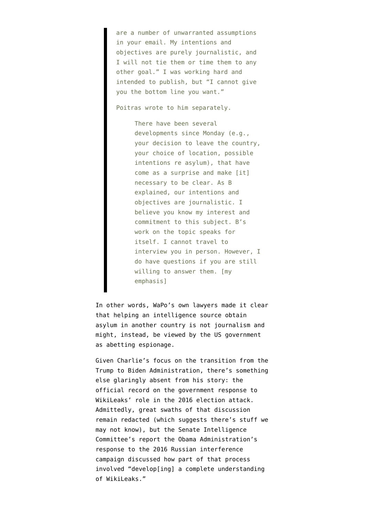are a number of unwarranted assumptions in your email. My intentions and objectives are purely journalistic, and I will not tie them or time them to any other goal." I was working hard and intended to publish, but "I cannot give you the bottom line you want."

Poitras wrote to him separately.

There have been several developments since Monday (e.g., your decision to leave the country, your choice of location, possible intentions re asylum), that have come as a surprise and make [it] necessary to be clear. As B explained, our intentions and objectives are journalistic. I believe you know my interest and commitment to this subject. B's work on the topic speaks for itself. I cannot travel to interview you in person. However, I do have questions if you are still willing to answer them. [my emphasis]

In other words, WaPo's own lawyers made it clear that helping an intelligence source obtain asylum in another country is not journalism and might, instead, be viewed by the US government as abetting espionage.

Given Charlie's focus on the transition from the Trump to Biden Administration, there's something else glaringly absent from his story: the official record on the government response to WikiLeaks' role in the 2016 election attack. Admittedly, great swaths of that discussion remain redacted (which suggests there's stuff we may not know), but the [Senate Intelligence](https://www.intelligence.senate.gov/sites/default/files/documents/Report_Volume3.pdf) [Committee's report the Obama Administration's](https://www.intelligence.senate.gov/sites/default/files/documents/Report_Volume3.pdf) [response](https://www.intelligence.senate.gov/sites/default/files/documents/Report_Volume3.pdf) to the 2016 Russian interference campaign discussed how part of that process involved "develop[ing] a complete understanding of WikiLeaks."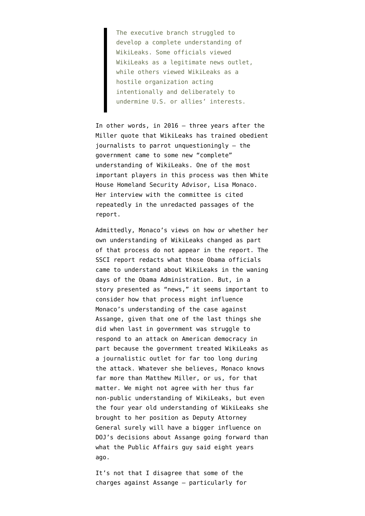The executive branch struggled to develop a complete understanding of WikiLeaks. Some officials viewed WikiLeaks as a legitimate news outlet, while others viewed WikiLeaks as a hostile organization acting intentionally and deliberately to undermine U.S. or allies' interests.

In other words, in 2016 — three years after the Miller quote that WikiLeaks has trained obedient journalists to parrot unquestioningly — the government came to some new "complete" understanding of WikiLeaks. One of the most important players in this process was then White House Homeland Security Advisor, Lisa Monaco. Her interview with the committee is cited repeatedly in the unredacted passages of the report.

Admittedly, Monaco's views on how or whether her own understanding of WikiLeaks changed as part of that process do not appear in the report. The SSCI report redacts what those Obama officials came to understand about WikiLeaks in the waning days of the Obama Administration. But, in a story presented as "news," it seems important to consider how that process might influence Monaco's understanding of the case against Assange, given that one of the last things she did when last in government was struggle to respond to an attack on American democracy in part because the government treated WikiLeaks as a journalistic outlet for far too long during the attack. Whatever she believes, Monaco knows far more than Matthew Miller, or us, for that matter. We might not agree with her thus far non-public understanding of WikiLeaks, but even the four year old understanding of WikiLeaks she brought to her position as Deputy Attorney General surely will have a bigger influence on DOJ's decisions about Assange going forward than what the Public Affairs guy said eight years ago.

It's not that I disagree that some of the charges against Assange — particularly for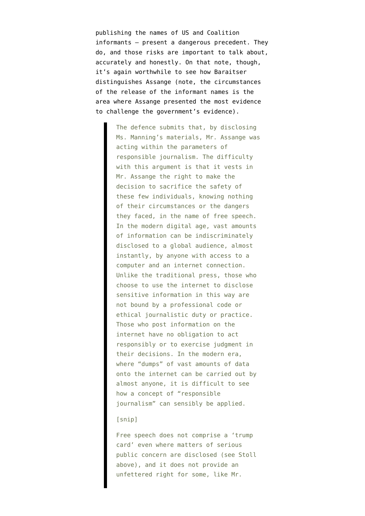publishing the names of US and Coalition informants — present a dangerous precedent. They do, and those risks are important to talk about, accurately and honestly. On that note, though, it's again worthwhile to see how Baraitser distinguishes Assange (note, the circumstances of the release of the informant names is the area where Assange presented the most evidence to challenge the government's evidence).

> The defence submits that, by disclosing Ms. Manning's materials, Mr. Assange was acting within the parameters of responsible journalism. The difficulty with this argument is that it vests in Mr. Assange the right to make the decision to sacrifice the safety of these few individuals, knowing nothing of their circumstances or the dangers they faced, in the name of free speech. In the modern digital age, vast amounts of information can be indiscriminately disclosed to a global audience, almost instantly, by anyone with access to a computer and an internet connection. Unlike the traditional press, those who choose to use the internet to disclose sensitive information in this way are not bound by a professional code or ethical journalistic duty or practice. Those who post information on the internet have no obligation to act responsibly or to exercise judgment in their decisions. In the modern era, where "dumps" of vast amounts of data onto the internet can be carried out by almost anyone, it is difficult to see how a concept of "responsible journalism" can sensibly be applied.

#### [snip]

Free speech does not comprise a 'trump card' even where matters of serious public concern are disclosed (see Stoll above), and it does not provide an unfettered right for some, like Mr.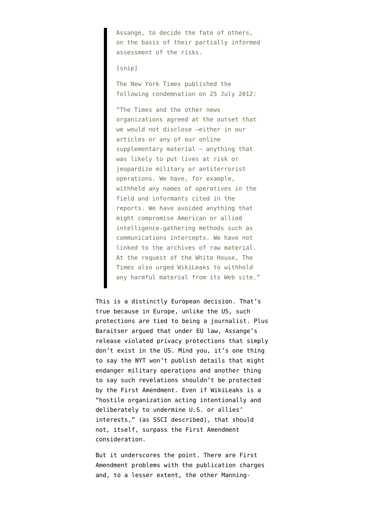Assange, to decide the fate of others, on the basis of their partially informed assessment of the risks.

[snip]

The New York Times published the following condemnation on 25 July 2012:

"The Times and the other news organizations agreed at the outset that we would not disclose —either in our articles or any of our online supplementary material — anything that was likely to put lives at risk or jeopardize military or antiterrorist operations. We have, for example, withheld any names of operatives in the field and informants cited in the reports. We have avoided anything that might compromise American or allied intelligence-gathering methods such as communications intercepts. We have not linked to the archives of raw material. At the request of the White House, The Times also urged WikiLeaks to withhold any harmful material from its Web site."

This is a distinctly European decision. That's true because in Europe, unlike the US, such protections *are* tied to being a journalist. Plus Baraitser argued that under EU law, Assange's release violated privacy protections that simply don't exist in the US. Mind you, it's one thing to say the NYT won't publish details that might endanger military operations and another thing to say such revelations shouldn't be protected by the First Amendment. Even if WikiLeaks is a "hostile organization acting intentionally and deliberately to undermine U.S. or allies' interests," (as SSCI described), that should not, itself, surpass the First Amendment consideration.

But it underscores the point. There are First Amendment problems with the publication charges and, to a lesser extent, the other Manning-